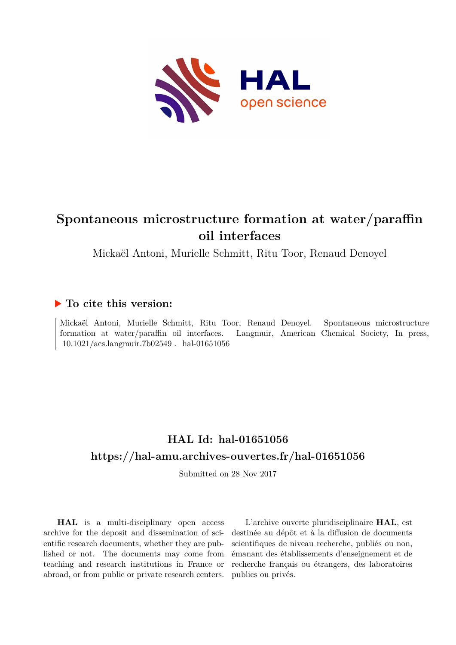

# **Spontaneous microstructure formation at water/paraffin oil interfaces**

Mickaël Antoni, Murielle Schmitt, Ritu Toor, Renaud Denoyel

### **To cite this version:**

Mickaël Antoni, Murielle Schmitt, Ritu Toor, Renaud Denoyel. Spontaneous microstructure formation at water/paraffin oil interfaces. Langmuir, American Chemical Society, In press,  $10.1021/acs.langmuir.7b02549$ . hal-01651056

## **HAL Id: hal-01651056 <https://hal-amu.archives-ouvertes.fr/hal-01651056>**

Submitted on 28 Nov 2017

**HAL** is a multi-disciplinary open access archive for the deposit and dissemination of scientific research documents, whether they are published or not. The documents may come from teaching and research institutions in France or abroad, or from public or private research centers.

L'archive ouverte pluridisciplinaire **HAL**, est destinée au dépôt et à la diffusion de documents scientifiques de niveau recherche, publiés ou non, émanant des établissements d'enseignement et de recherche français ou étrangers, des laboratoires publics ou privés.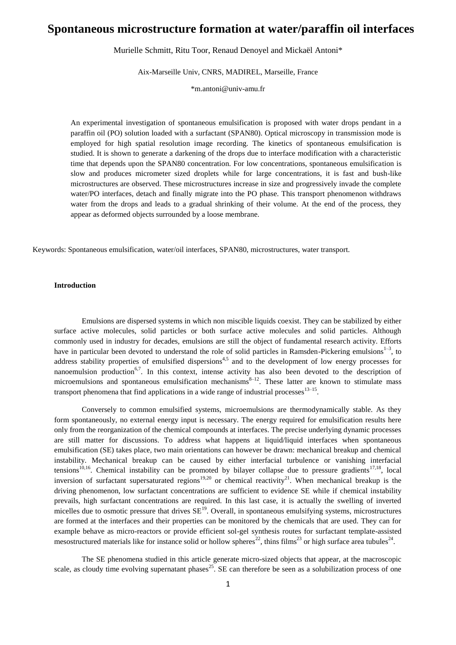## **Spontaneous microstructure formation at water/paraffin oil interfaces**

Murielle Schmitt, Ritu Toor, Renaud Denoyel and Mickaël Antoni\*

Aix-Marseille Univ, CNRS, MADIREL, Marseille, France

\*m.antoni@univ-amu.fr

An experimental investigation of spontaneous emulsification is proposed with water drops pendant in a paraffin oil (PO) solution loaded with a surfactant (SPAN80). Optical microscopy in transmission mode is employed for high spatial resolution image recording. The kinetics of spontaneous emulsification is studied. It is shown to generate a darkening of the drops due to interface modification with a characteristic time that depends upon the SPAN80 concentration. For low concentrations, spontaneous emulsification is slow and produces micrometer sized droplets while for large concentrations, it is fast and bush-like microstructures are observed. These microstructures increase in size and progressively invade the complete water/PO interfaces, detach and finally migrate into the PO phase. This transport phenomenon withdraws water from the drops and leads to a gradual shrinking of their volume. At the end of the process, they appear as deformed objects surrounded by a loose membrane.

Keywords: Spontaneous emulsification, water/oil interfaces, SPAN80, microstructures, water transport.

#### **Introduction**

Emulsions are dispersed systems in which non miscible liquids coexist. They can be stabilized by either surface active molecules, solid particles or both surface active molecules and solid particles. Although commonly used in industry for decades, emulsions are still the object of fundamental research activity. Efforts have in particular been devoted to understand the role of solid particles in Ramsden-Pickering emulsions $1-3$ , to address stability properties of emulsified dispersions<sup>4,5</sup> and to the development of low energy processes for nanoemulsion production<sup>6,7</sup>. In this context, intense activity has also been devoted to the description of microemulsions and spontaneous emulsification mechanisms $^{8-12}$ . These latter are known to stimulate mass transport phenomena that find applications in a wide range of industrial processes  $13-15$ .

Conversely to common emulsified systems, microemulsions are thermodynamically stable. As they form spontaneously, no external energy input is necessary. The energy required for emulsification results here only from the reorganization of the chemical compounds at interfaces. The precise underlying dynamic processes are still matter for discussions. To address what happens at liquid/liquid interfaces when spontaneous emulsification (SE) takes place, two main orientations can however be drawn: mechanical breakup and chemical instability. Mechanical breakup can be caused by either interfacial turbulence or vanishing interfacial tensions<sup>10,16</sup>. Chemical instability can be promoted by bilayer collapse due to pressure gradients<sup>17,18</sup>, local inversion of surfactant supersaturated regions<sup>19,20</sup> or chemical reactivity<sup>21</sup>. When mechanical breakup is the driving phenomenon, low surfactant concentrations are sufficient to evidence SE while if chemical instability prevails, high surfactant concentrations are required. In this last case, it is actually the swelling of inverted micelles due to osmotic pressure that drives  $SE^{19}$ . Overall, in spontaneous emulsifying systems, microstructures are formed at the interfaces and their properties can be monitored by the chemicals that are used. They can for example behave as micro-reactors or provide efficient sol-gel synthesis routes for surfactant template-assisted mesostructured materials like for instance solid or hollow spheres<sup>22</sup>, thins films<sup>23</sup> or high surface area tubules<sup>24</sup>.

The SE phenomena studied in this article generate micro-sized objects that appear, at the macroscopic scale, as cloudy time evolving supernatant phases<sup>25</sup>. SE can therefore be seen as a solubilization process of one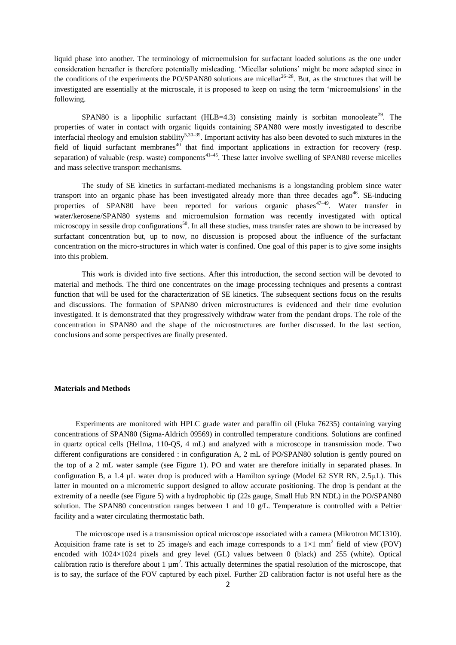liquid phase into another. The terminology of microemulsion for surfactant loaded solutions as the one under consideration hereafter is therefore potentially misleading. 'Micellar solutions' might be more adapted since in the conditions of the experiments the PO/SPAN80 solutions are micellar  $26-28$ . But, as the structures that will be investigated are essentially at the microscale, it is proposed to keep on using the term 'microemulsions' in the following.

SPAN80 is a lipophilic surfactant (HLB=4.3) consisting mainly is sorbitan monooleate<sup>29</sup>. The properties of water in contact with organic liquids containing SPAN80 were mostly investigated to describe interfacial rheology and emulsion stability<sup>5,30–39</sup>. Important activity has also been devoted to such mixtures in the field of liquid surfactant membranes<sup>40</sup> that find important applications in extraction for recovery (resp. separation) of valuable (resp. waste) components<sup> $41-45$ </sup>. These latter involve swelling of SPAN80 reverse micelles and mass selective transport mechanisms.

The study of SE kinetics in surfactant-mediated mechanisms is a longstanding problem since water transport into an organic phase has been investigated already more than three decades  $ago^{46}$ . SE-inducing properties of SPAN80 have been reported for various organic phases<sup>47–49</sup>. Water transfer in water/kerosene/SPAN80 systems and microemulsion formation was recently investigated with optical microscopy in sessile drop configurations<sup>50</sup>. In all these studies, mass transfer rates are shown to be increased by surfactant concentration but, up to now, no discussion is proposed about the influence of the surfactant concentration on the micro-structures in which water is confined. One goal of this paper is to give some insights into this problem.

This work is divided into five sections. After this introduction, the second section will be devoted to material and methods. The third one concentrates on the image processing techniques and presents a contrast function that will be used for the characterization of SE kinetics. The subsequent sections focus on the results and discussions. The formation of SPAN80 driven microstructures is evidenced and their time evolution investigated. It is demonstrated that they progressively withdraw water from the pendant drops. The role of the concentration in SPAN80 and the shape of the microstructures are further discussed. In the last section, conclusions and some perspectives are finally presented.

#### **Materials and Methods**

Experiments are monitored with HPLC grade water and paraffin oil (Fluka 76235) containing varying concentrations of SPAN80 (Sigma-Aldrich 09569) in controlled temperature conditions. Solutions are confined in quartz optical cells (Hellma, 110-QS, 4 mL) and analyzed with a microscope in transmission mode. Two different configurations are considered : in configuration A, 2 mL of PO/SPAN80 solution is gently poured on the top of a 2 mL water sample (see Figure 1). PO and water are therefore initially in separated phases. In configuration B, a 1.4 µL water drop is produced with a Hamilton syringe (Model 62 SYR RN, 2.5μL). This latter in mounted on a micrometric support designed to allow accurate positioning. The drop is pendant at the extremity of a needle (see Figure 5) with a hydrophobic tip (22s gauge, Small Hub RN NDL) in the PO/SPAN80 solution. The SPAN80 concentration ranges between 1 and 10 g/L. Temperature is controlled with a Peltier facility and a water circulating thermostatic bath.

The microscope used is a transmission optical microscope associated with a camera (Mikrotron MC1310). Acquisition frame rate is set to 25 image/s and each image corresponds to a  $1\times1$  mm<sup>2</sup> field of view (FOV) encoded with 1024×1024 pixels and grey level (GL) values between 0 (black) and 255 (white). Optical calibration ratio is therefore about 1  $\mu$ m<sup>2</sup>. This actually determines the spatial resolution of the microscope, that is to say, the surface of the FOV captured by each pixel. Further 2D calibration factor is not useful here as the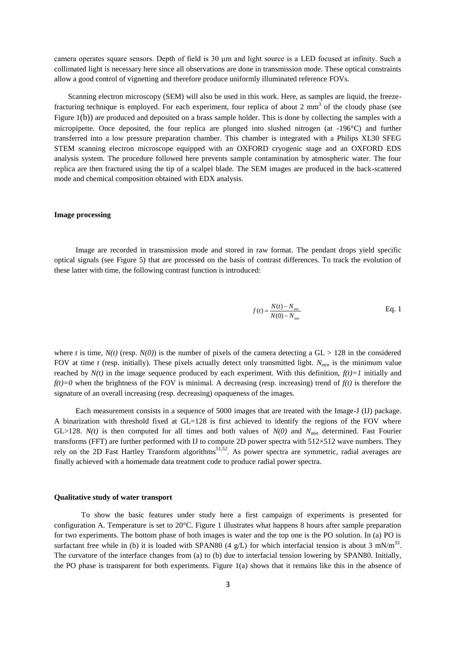camera operates square sensors. Depth of field is 30 μm and light source is a LED focused at infinity. Such a collimated light is necessary here since all observations are done in transmission mode. These optical constraints allow a good control of vignetting and therefore produce uniformly illuminated reference FOVs.

Scanning electron microscopy (SEM) will also be used in this work. Here, as samples are liquid, the freezefracturing technique is employed. For each experiment, four replica of about 2  $mm<sup>3</sup>$  of the cloudy phase (see Figure 1(b)) are produced and deposited on a brass sample holder. This is done by collecting the samples with a micropipette. Once deposited, the four replica are plunged into slushed nitrogen (at -196°C) and further transferred into a low pressure preparation chamber. This chamber is integrated with a Philips XL30 SFEG STEM scanning electron microscope equipped with an OXFORD cryogenic stage and an OXFORD EDS analysis system. The procedure followed here prevents sample contamination by atmospheric water. The four replica are then fractured using the tip of a scalpel blade. The SEM images are produced in the back-scattered mode and chemical composition obtained with EDX analysis.

#### **Image processing**

Image are recorded in transmission mode and stored in raw format. The pendant drops yield specific optical signals (see Figure 5) that are processed on the basis of contrast differences. To track the evolution of these latter with time, the following contrast function is introduced:

$$
f(t) = \frac{N(t) - N_{\min}}{N(0) - N_{\min}}
$$
 Eq. 1

where *t* is time,  $N(t)$  (resp.  $N(0)$ ) is the number of pixels of the camera detecting a GL > 128 in the considered FOV at time *t* (resp. initially). These pixels actually detect only transmitted light. *Nmin* is the minimum value reached by  $N(t)$  in the image sequence produced by each experiment. With this definition,  $f(t)=I$  initially and  $f(t)=0$  when the brightness of the FOV is minimal. A decreasing (resp. increasing) trend of  $f(t)$  is therefore the signature of an overall increasing (resp. decreasing) opaqueness of the images.

Each measurement consists in a sequence of 5000 images that are treated with the Image-J (IJ) package. A binarization with threshold fixed at GL=128 is first achieved to identify the regions of the FOV where GL>128. *N(t)* is then computed for all times and both values of  $N(0)$  and  $N_{min}$  determined. Fast Fourier transforms (FFT) are further performed with IJ to compute 2D power spectra with  $512\times512$  wave numbers. They rely on the 2D Fast Hartley Transform algorithms<sup>51,52</sup>. As power spectra are symmetric, radial averages are finally achieved with a homemade data treatment code to produce radial power spectra.

#### **Qualitative study of water transport**

To show the basic features under study here a first campaign of experiments is presented for configuration A. Temperature is set to 20°C. Figure 1 illustrates what happens 8 hours after sample preparation for two experiments. The bottom phase of both images is water and the top one is the PO solution. In (a) PO is surfactant free while in (b) it is loaded with SPAN80 (4 g/L) for which interfacial tension is about 3 mN/m<sup>33</sup>. The curvature of the interface changes from (a) to (b) due to interfacial tension lowering by SPAN80. Initially, the PO phase is transparent for both experiments. Figure 1(a) shows that it remains like this in the absence of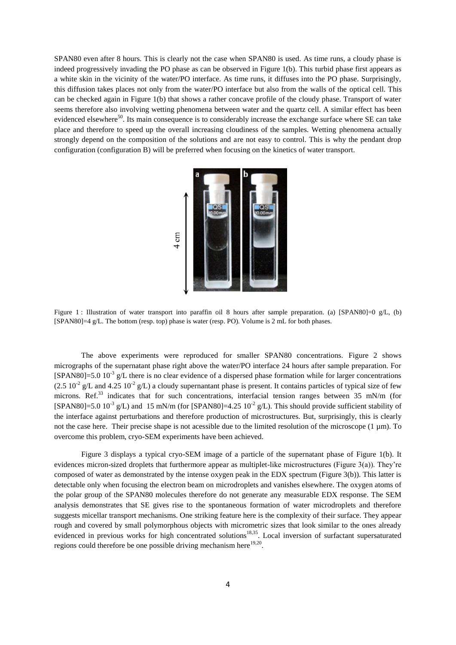SPAN80 even after 8 hours. This is clearly not the case when SPAN80 is used. As time runs, a cloudy phase is indeed progressively invading the PO phase as can be observed in Figure 1(b). This turbid phase first appears as a white skin in the vicinity of the water/PO interface. As time runs, it diffuses into the PO phase. Surprisingly, this diffusion takes places not only from the water/PO interface but also from the walls of the optical cell. This can be checked again in Figure 1(b) that shows a rather concave profile of the cloudy phase. Transport of water seems therefore also involving wetting phenomena between water and the quartz cell. A similar effect has been evidenced elsewhere<sup>50</sup>. Its main consequence is to considerably increase the exchange surface where SE can take place and therefore to speed up the overall increasing cloudiness of the samples. Wetting phenomena actually strongly depend on the composition of the solutions and are not easy to control. This is why the pendant drop configuration (configuration B) will be preferred when focusing on the kinetics of water transport.



Figure 1 : Illustration of water transport into paraffin oil 8 hours after sample preparation. (a) [SPAN80]=0 g/L, (b) [SPAN80]=4 g/L. The bottom (resp. top) phase is water (resp. PO). Volume is 2 mL for both phases.

The above experiments were reproduced for smaller SPAN80 concentrations. Figure 2 shows micrographs of the supernatant phase right above the water/PO interface 24 hours after sample preparation. For [SPAN80]=5.0  $10^{-3}$  g/L there is no clear evidence of a dispersed phase formation while for larger concentrations  $(2.5 \times 10^{-2} \text{ g/L} \text{ and } 4.25 \times 10^{-2} \text{ g/L})$  a cloudy supernantant phase is present. It contains particles of typical size of few microns. Ref.<sup>33</sup> indicates that for such concentrations, interfacial tension ranges between 35 mN/m (for [SPAN80]=5.0 10<sup>-3</sup> g/L) and 15 mN/m (for [SPAN80]=4.25 10<sup>-2</sup> g/L). This should provide sufficient stability of the interface against perturbations and therefore production of microstructures. But, surprisingly, this is clearly not the case here. Their precise shape is not acessible due to the limited resolution of the microscope (1 µm). To overcome this problem, cryo-SEM experiments have been achieved.

Figure 3 displays a typical cryo-SEM image of a particle of the supernatant phase of Figure 1(b). It evidences micron-sized droplets that furthermore appear as multiplet-like microstructures (Figure 3(a)). They're composed of water as demonstrated by the intense oxygen peak in the EDX spectrum (Figure 3(b)). This latter is detectable only when focusing the electron beam on microdroplets and vanishes elsewhere. The oxygen atoms of the polar group of the SPAN80 molecules therefore do not generate any measurable EDX response. The SEM analysis demonstrates that SE gives rise to the spontaneous formation of water microdroplets and therefore suggests micellar transport mechanisms. One striking feature here is the complexity of their surface. They appear rough and covered by small polymorphous objects with micrometric sizes that look similar to the ones already evidenced in previous works for high concentrated solutions<sup>18,35</sup>. Local inversion of surfactant supersaturated regions could therefore be one possible driving mechanism here  $19,20$ .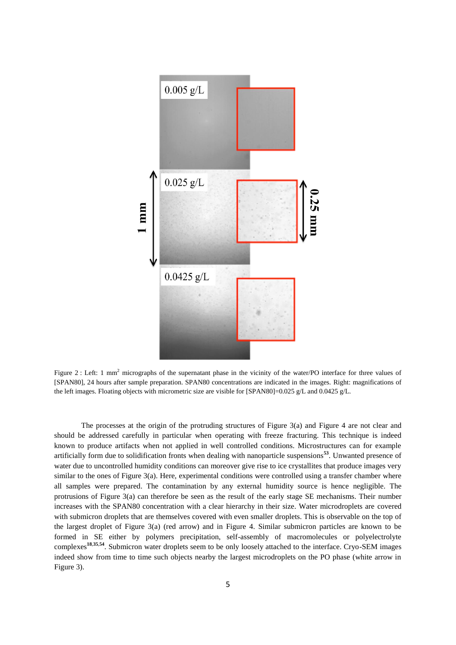

Figure 2 : Left: 1 mm<sup>2</sup> micrographs of the supernatant phase in the vicinity of the water/PO interface for three values of [SPAN80], 24 hours after sample preparation. SPAN80 concentrations are indicated in the images. Right: magnifications of the left images. Floating objects with micrometric size are visible for  $\text{[SPAN80]}=0.025 \text{ g/L}$  and 0.0425 g/L.

The processes at the origin of the protruding structures of Figure 3(a) and Figure 4 are not clear and should be addressed carefully in particular when operating with freeze fracturing. This technique is indeed known to produce artifacts when not applied in well controlled conditions. Microstructures can for example artificially form due to solidification fronts when dealing with nanoparticle suspensions**<sup>53</sup>**. Unwanted presence of water due to uncontrolled humidity conditions can moreover give rise to ice crystallites that produce images very similar to the ones of Figure 3(a). Here, experimental conditions were controlled using a transfer chamber where all samples were prepared. The contamination by any external humidity source is hence negligible. The protrusions of Figure 3(a) can therefore be seen as the result of the early stage SE mechanisms. Their number increases with the SPAN80 concentration with a clear hierarchy in their size. Water microdroplets are covered with submicron droplets that are themselves covered with even smaller droplets. This is observable on the top of the largest droplet of Figure 3(a) (red arrow) and in Figure 4. Similar submicron particles are known to be formed in SE either by polymers precipitation, self-assembly of macromolecules or polyelectrolyte complexes**<sup>18</sup>**,**35**,**<sup>54</sup>** . Submicron water droplets seem to be only loosely attached to the interface. Cryo-SEM images indeed show from time to time such objects nearby the largest microdroplets on the PO phase (white arrow in Figure 3).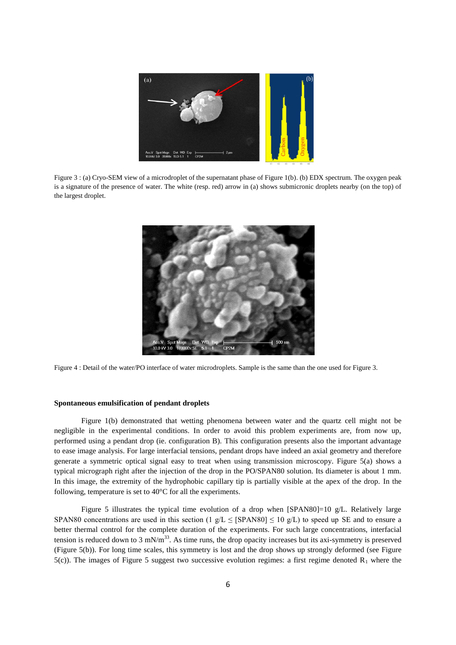

Figure 3 : (a) Cryo-SEM view of a microdroplet of the supernatant phase of Figure 1(b). (b) EDX spectrum. The oxygen peak is a signature of the presence of water. The white (resp. red) arrow in (a) shows submicronic droplets nearby (on the top) of the largest droplet.



Figure 4 : Detail of the water/PO interface of water microdroplets. Sample is the same than the one used for Figure 3.

#### **Spontaneous emulsification of pendant droplets**

Figure 1(b) demonstrated that wetting phenomena between water and the quartz cell might not be negligible in the experimental conditions. In order to avoid this problem experiments are, from now up, performed using a pendant drop (ie. configuration B). This configuration presents also the important advantage to ease image analysis. For large interfacial tensions, pendant drops have indeed an axial geometry and therefore generate a symmetric optical signal easy to treat when using transmission microscopy. Figure 5(a) shows a typical micrograph right after the injection of the drop in the PO/SPAN80 solution. Its diameter is about 1 mm. In this image, the extremity of the hydrophobic capillary tip is partially visible at the apex of the drop. In the following, temperature is set to 40°C for all the experiments.

Figure 5 illustrates the typical time evolution of a drop when  $[SPAN80]=10$  g/L. Relatively large SPAN80 concentrations are used in this section (1 g/L  $\leq$  [SPAN80]  $\leq$  10 g/L) to speed up SE and to ensure a better thermal control for the complete duration of the experiments. For such large concentrations, interfacial tension is reduced down to 3 mN/m<sup>33</sup>. As time runs, the drop opacity increases but its axi-symmetry is preserved (Figure 5(b)). For long time scales, this symmetry is lost and the drop shows up strongly deformed (see Figure 5(c)). The images of Figure 5 suggest two successive evolution regimes: a first regime denoted  $R_1$  where the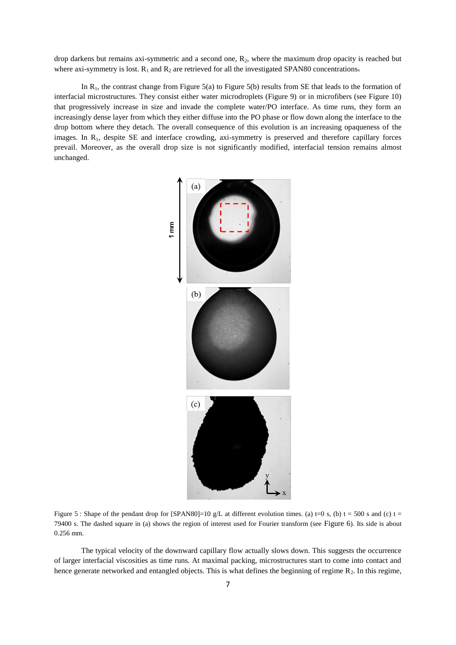drop darkens but remains axi-symmetric and a second one,  $R_2$ , where the maximum drop opacity is reached but where axi-symmetry is lost.  $R_1$  and  $R_2$  are retrieved for all the investigated SPAN80 concentrations.

In  $R_1$ , the contrast change from Figure 5(a) to Figure 5(b) results from SE that leads to the formation of interfacial microstructures. They consist either water microdroplets (Figure 9) or in microfibers (see Figure 10) that progressively increase in size and invade the complete water/PO interface. As time runs, they form an increasingly dense layer from which they either diffuse into the PO phase or flow down along the interface to the drop bottom where they detach. The overall consequence of this evolution is an increasing opaqueness of the images. In R<sub>1</sub>, despite SE and interface crowding, axi-symmetry is preserved and therefore capillary forces prevail. Moreover, as the overall drop size is not significantly modified, interfacial tension remains almost unchanged.



Figure 5 : Shape of the pendant drop for  $[SPAN80]=10$  g/L at different evolution times. (a) t=0 s, (b) t = 500 s and (c) t = 79400 s. The dashed square in (a) shows the region of interest used for Fourier transform (see Figure 6). Its side is about 0.256 mm.

The typical velocity of the downward capillary flow actually slows down. This suggests the occurrence of larger interfacial viscosities as time runs. At maximal packing, microstructures start to come into contact and hence generate networked and entangled objects. This is what defines the beginning of regime  $R_2$ . In this regime,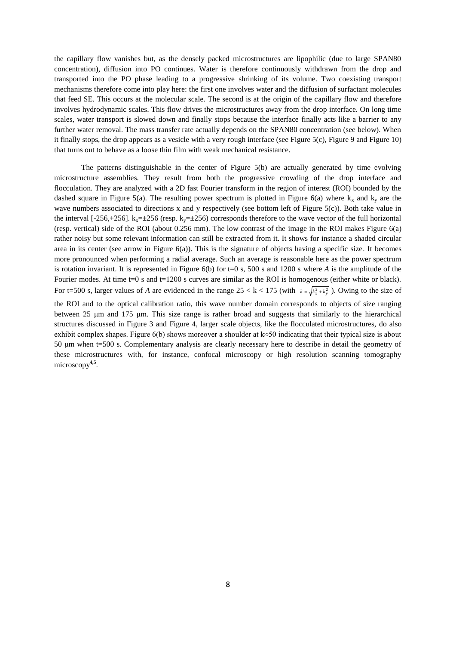the capillary flow vanishes but, as the densely packed microstructures are lipophilic (due to large SPAN80 concentration), diffusion into PO continues. Water is therefore continuously withdrawn from the drop and transported into the PO phase leading to a progressive shrinking of its volume. Two coexisting transport mechanisms therefore come into play here: the first one involves water and the diffusion of surfactant molecules that feed SE. This occurs at the molecular scale. The second is at the origin of the capillary flow and therefore involves hydrodynamic scales. This flow drives the microstructures away from the drop interface. On long time scales, water transport is slowed down and finally stops because the interface finally acts like a barrier to any further water removal. The mass transfer rate actually depends on the SPAN80 concentration (see below). When it finally stops, the drop appears as a vesicle with a very rough interface (see Figure 5(c), Figure 9 and Figure 10) that turns out to behave as a loose thin film with weak mechanical resistance.

The patterns distinguishable in the center of Figure 5(b) are actually generated by time evolving microstructure assemblies. They result from both the progressive crowding of the drop interface and flocculation. They are analyzed with a 2D fast Fourier transform in the region of interest (ROI) bounded by the dashed square in Figure 5(a). The resulting power spectrum is plotted in Figure 6(a) where  $k_x$  and  $k_y$  are the wave numbers associated to directions x and y respectively (see bottom left of Figure 5(c)). Both take value in the interval [-256,+256].  $k_x=\pm 256$  (resp.  $k_y=\pm 256$ ) corresponds therefore to the wave vector of the full horizontal (resp. vertical) side of the ROI (about 0.256 mm). The low contrast of the image in the ROI makes Figure 6(a) rather noisy but some relevant information can still be extracted from it. It shows for instance a shaded circular area in its center (see arrow in Figure 6(a)). This is the signature of objects having a specific size. It becomes more pronounced when performing a radial average. Such an average is reasonable here as the power spectrum is rotation invariant. It is represented in Figure 6(b) for t=0 s, 500 s and 1200 s where *A* is the amplitude of the Fourier modes. At time t=0 s and t=1200 s curves are similar as the ROI is homogenous (either white or black). For t=500 s, larger values of *A* are evidenced in the range  $25 < k < 175$  (with  $k = \sqrt{k_x^2 + k_y^2}$ ). Owing to the size of

the ROI and to the optical calibration ratio, this wave number domain corresponds to objects of size ranging between 25 μm and 175 μm. This size range is rather broad and suggests that similarly to the hierarchical structures discussed in Figure 3 and Figure 4, larger scale objects, like the flocculated microstructures, do also exhibit complex shapes. Figure 6(b) shows moreover a shoulder at k≈50 indicating that their typical size is about 50 μm when t=500 s. Complementary analysis are clearly necessary here to describe in detail the geometry of these microstructures with, for instance, confocal microscopy or high resolution scanning tomography microscopy**4,5** .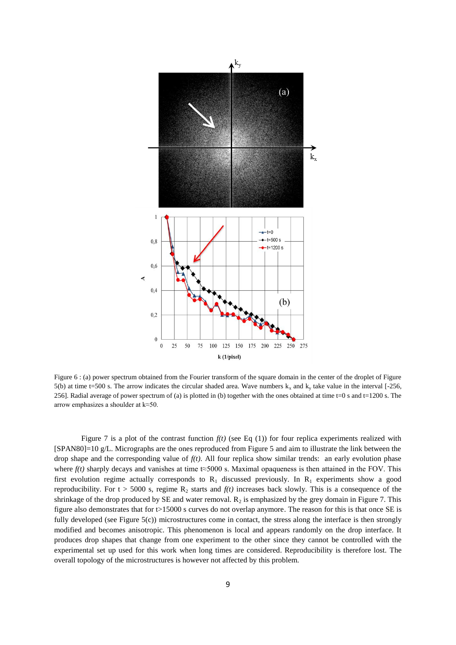

Figure 6 : (a) power spectrum obtained from the Fourier transform of the square domain in the center of the droplet of Figure 5(b) at time t=500 s. The arrow indicates the circular shaded area. Wave numbers  $k_x$  and  $k_y$  take value in the interval [-256, 256]. Radial average of power spectrum of (a) is plotted in (b) together with the ones obtained at time t=0 s and t=1200 s. The arrow emphasizes a shoulder at k≈50.

Figure 7 is a plot of the contrast function  $f(t)$  (see Eq (1)) for four replica experiments realized with [SPAN80]=10 g/L. Micrographs are the ones reproduced from Figure 5 and aim to illustrate the link between the drop shape and the corresponding value of  $f(t)$ . All four replica show similar trends: an early evolution phase where  $f(t)$  sharply decays and vanishes at time  $t \approx 5000$  s. Maximal opaqueness is then attained in the FOV. This first evolution regime actually corresponds to  $R_1$  discussed previously. In  $R_1$  experiments show a good reproducibility. For  $t > 5000$  s, regime  $R_2$  starts and  $f(t)$  increases back slowly. This is a consequence of the shrinkage of the drop produced by SE and water removal.  $R_2$  is emphasized by the grey domain in Figure 7. This figure also demonstrates that for t>15000 s curves do not overlap anymore. The reason for this is that once SE is fully developed (see Figure 5(c)) microstructures come in contact, the stress along the interface is then strongly modified and becomes anisotropic. This phenomenon is local and appears randomly on the drop interface. It produces drop shapes that change from one experiment to the other since they cannot be controlled with the experimental set up used for this work when long times are considered. Reproducibility is therefore lost. The overall topology of the microstructures is however not affected by this problem.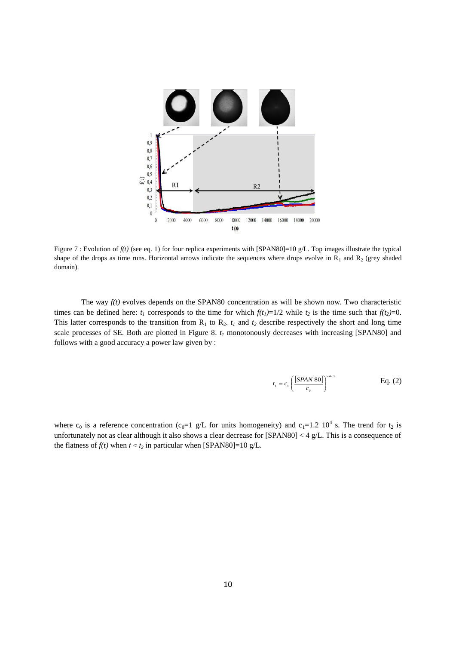

Figure 7 : Evolution of  $f(t)$  (see eq. 1) for four replica experiments with [SPAN80]=10 g/L. Top images illustrate the typical shape of the drops as time runs. Horizontal arrows indicate the sequences where drops evolve in  $R_1$  and  $R_2$  (grey shaded domain).

The way  $f(t)$  evolves depends on the SPAN80 concentration as will be shown now. Two characteristic times can be defined here:  $t_1$  corresponds to the time for which  $f(t_1) = 1/2$  while  $t_2$  is the time such that  $f(t_2) = 0$ . This latter corresponds to the transition from  $R_1$  to  $R_2$ .  $t_1$  and  $t_2$  describe respectively the short and long time scale processes of SE. Both are plotted in Figure 8. *t<sup>1</sup>* monotonously decreases with increasing [SPAN80] and follows with a good accuracy a power law given by :

$$
t_1 = c_1 \left( \frac{[SPAN 80]}{c_0} \right)^{-4/3}
$$
 Eq. (2)

where c<sub>0</sub> is a reference concentration (c<sub>0</sub>=1 g/L for units homogeneity) and c<sub>1</sub>=1.2 10<sup>4</sup> s. The trend for t<sub>2</sub> is unfortunately not as clear although it also shows a clear decrease for [SPAN80] < 4 g/L. This is a consequence of the flatness of  $f(t)$  when  $t \approx t_2$  in particular when [SPAN80]=10 g/L.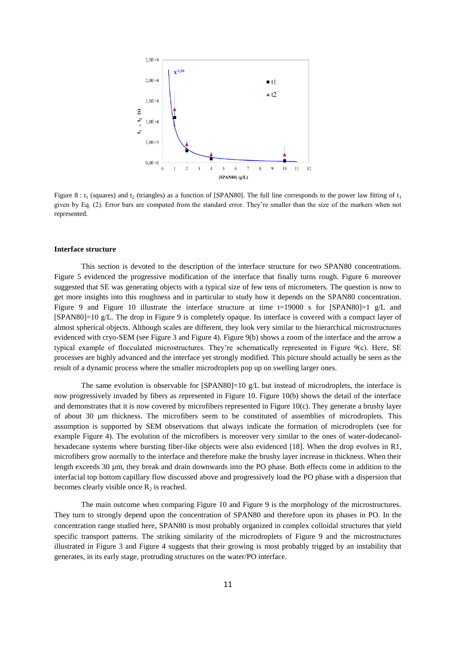

Figure 8 :  $t_1$  (squares) and  $t_2$  (triangles) as a function of [SPAN80]. The full line corresponds to the power law fitting of  $t_1$ given by Eq. (2). Error bars are computed from the standard error. They're smaller than the size of the markers when not represented.

#### **Interface structure**

This section is devoted to the description of the interface structure for two SPAN80 concentrations. Figure 5 evidenced the progressive modification of the interface that finally turns rough. Figure 6 moreover suggested that SE was generating objects with a typical size of few tens of micrometers. The question is now to get more insights into this roughness and in particular to study how it depends on the SPAN80 concentration. Figure 9 and Figure 10 illustrate the interface structure at time  $t=19000$  s for  $[SPAN80]=1$  g/L and [SPAN80]=10 g/L. The drop in Figure 9 is completely opaque. Its interface is covered with a compact layer of almost spherical objects. Although scales are different, they look very similar to the hierarchical microstructures evidenced with cryo-SEM (see Figure 3 and Figure 4). Figure 9(b) shows a zoom of the interface and the arrow a typical example of flocculated microstructures. They're schematically represented in Figure 9(c). Here, SE processes are highly advanced and the interface yet strongly modified. This picture should actually be seen as the result of a dynamic process where the smaller microdroplets pop up on swelling larger ones.

The same evolution is observable for  $[SPAN80]=10$  g/L but instead of microdroplets, the interface is now progressively invaded by fibers as represented in Figure 10. Figure 10(b) shows the detail of the interface and demonstrates that it is now covered by microfibers represented in Figure 10(c). They generate a brushy layer of about 30 µm thickness. The microfibers seem to be constituted of assemblies of microdroplets. This assumption is supported by SEM observations that always indicate the formation of microdroplets (see for example Figure 4). The evolution of the microfibers is moreover very similar to the ones of water-dodecanolhexadecane systems where bursting fiber-like objects were also evidenced [18]. When the drop evolves in R1, microfibers grow normally to the interface and therefore make the brushy layer increase in thickness. When their length exceeds 30 µm, they break and drain downwards into the PO phase. Both effects come in addition to the interfacial top bottom capillary flow discussed above and progressively load the PO phase with a dispersion that becomes clearly visible once  $R_2$  is reached.

The main outcome when comparing Figure 10 and Figure 9 is the morphology of the microstructures. They turn to strongly depend upon the concentration of SPAN80 and therefore upon its phases in PO. In the concentration range studied here, SPAN80 is most probably organized in complex colloidal structures that yield specific transport patterns. The striking similarity of the microdroplets of Figure 9 and the microstructures illustrated in Figure 3 and Figure 4 suggests that their growing is most probably trigged by an instability that generates, in its early stage, protruding structures on the water/PO interface.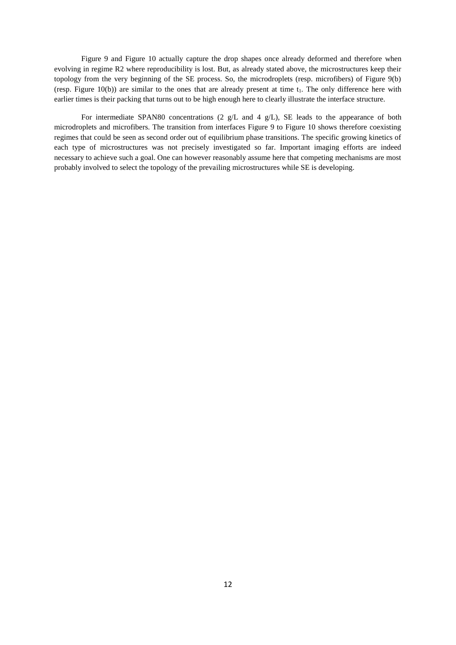Figure 9 and Figure 10 actually capture the drop shapes once already deformed and therefore when evolving in regime R2 where reproducibility is lost. But, as already stated above, the microstructures keep their topology from the very beginning of the SE process. So, the microdroplets (resp. microfibers) of Figure 9(b) (resp. Figure 10(b)) are similar to the ones that are already present at time  $t_1$ . The only difference here with earlier times is their packing that turns out to be high enough here to clearly illustrate the interface structure.

For intermediate SPAN80 concentrations (2  $g/L$  and 4  $g/L$ ), SE leads to the appearance of both microdroplets and microfibers. The transition from interfaces Figure 9 to Figure 10 shows therefore coexisting regimes that could be seen as second order out of equilibrium phase transitions. The specific growing kinetics of each type of microstructures was not precisely investigated so far. Important imaging efforts are indeed necessary to achieve such a goal. One can however reasonably assume here that competing mechanisms are most probably involved to select the topology of the prevailing microstructures while SE is developing.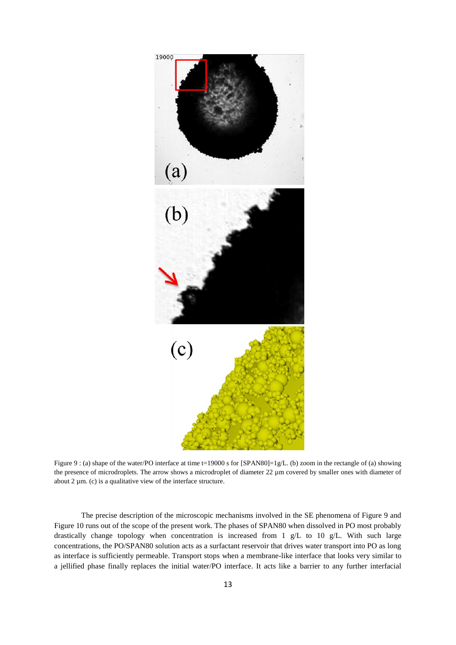

Figure 9 : (a) shape of the water/PO interface at time t=19000 s for [SPAN80]=1g/L. (b) zoom in the rectangle of (a) showing the presence of microdroplets. The arrow shows a microdroplet of diameter 22  $\mu$ m covered by smaller ones with diameter of about 2  $\mu$ m. (c) is a qualitative view of the interface structure.

The precise description of the microscopic mechanisms involved in the SE phenomena of Figure 9 and Figure 10 runs out of the scope of the present work. The phases of SPAN80 when dissolved in PO most probably drastically change topology when concentration is increased from 1 g/L to 10 g/L. With such large concentrations, the PO/SPAN80 solution acts as a surfactant reservoir that drives water transport into PO as long as interface is sufficiently permeable. Transport stops when a membrane-like interface that looks very similar to a jellified phase finally replaces the initial water/PO interface. It acts like a barrier to any further interfacial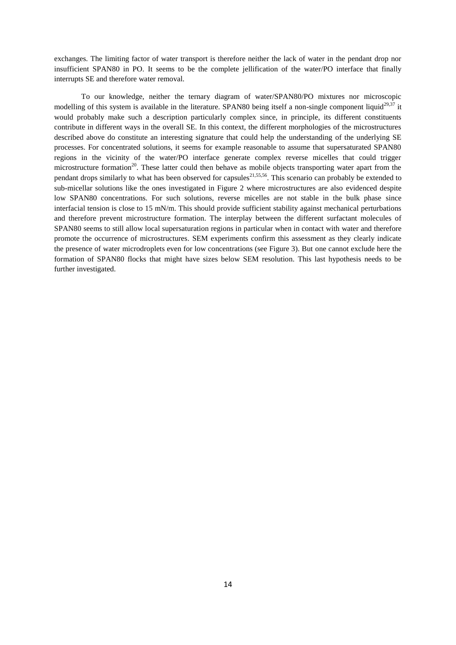exchanges. The limiting factor of water transport is therefore neither the lack of water in the pendant drop nor insufficient SPAN80 in PO. It seems to be the complete jellification of the water/PO interface that finally interrupts SE and therefore water removal.

To our knowledge, neither the ternary diagram of water/SPAN80/PO mixtures nor microscopic modelling of this system is available in the literature. SPAN80 being itself a non-single component liquid<sup>29,37</sup> it would probably make such a description particularly complex since, in principle, its different constituents contribute in different ways in the overall SE. In this context, the different morphologies of the microstructures described above do constitute an interesting signature that could help the understanding of the underlying SE processes. For concentrated solutions, it seems for example reasonable to assume that supersaturated SPAN80 regions in the vicinity of the water/PO interface generate complex reverse micelles that could trigger microstructure formation<sup>20</sup>. These latter could then behave as mobile objects transporting water apart from the pendant drops similarly to what has been observed for capsules $^{21,55,56}$ . This scenario can probably be extended to sub-micellar solutions like the ones investigated in Figure 2 where microstructures are also evidenced despite low SPAN80 concentrations. For such solutions, reverse micelles are not stable in the bulk phase since interfacial tension is close to 15 mN/m. This should provide sufficient stability against mechanical perturbations and therefore prevent microstructure formation. The interplay between the different surfactant molecules of SPAN80 seems to still allow local supersaturation regions in particular when in contact with water and therefore promote the occurrence of microstructures. SEM experiments confirm this assessment as they clearly indicate the presence of water microdroplets even for low concentrations (see Figure 3). But one cannot exclude here the formation of SPAN80 flocks that might have sizes below SEM resolution. This last hypothesis needs to be further investigated.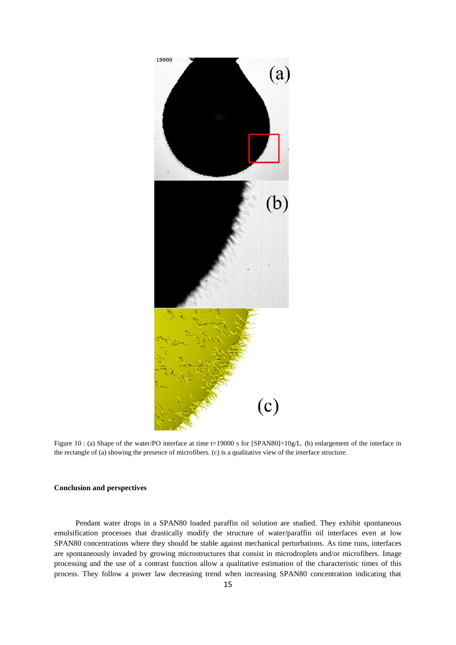

Figure 10 : (a) Shape of the water/PO interface at time t=19000 s for [SPAN80]=10g/L. (b) enlargement of the interface in the rectangle of (a) showing the presence of microfibers. (c) is a qualitative view of the interface structure.

#### **Conclusion and perspectives**

Pendant water drops in a SPAN80 loaded paraffin oil solution are studied. They exhibit spontaneous emulsification processes that drastically modify the structure of water/paraffin oil interfaces even at low SPAN80 concentrations where they should be stable against mechanical perturbations. As time runs, interfaces are spontaneously invaded by growing microstructures that consist in microdroplets and/or microfibers. Image processing and the use of a contrast function allow a qualitative estimation of the characteristic times of this process. They follow a power law decreasing trend when increasing SPAN80 concentration indicating that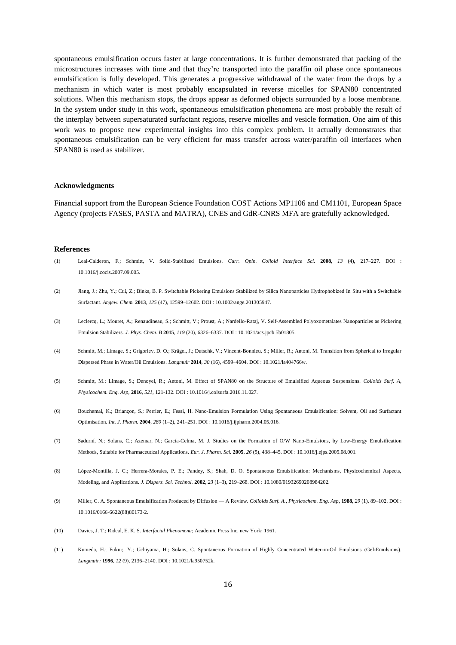spontaneous emulsification occurs faster at large concentrations. It is further demonstrated that packing of the microstructures increases with time and that they're transported into the paraffin oil phase once spontaneous emulsification is fully developed. This generates a progressive withdrawal of the water from the drops by a mechanism in which water is most probably encapsulated in reverse micelles for SPAN80 concentrated solutions. When this mechanism stops, the drops appear as deformed objects surrounded by a loose membrane. In the system under study in this work, spontaneous emulsification phenomena are most probably the result of the interplay between supersaturated surfactant regions, reserve micelles and vesicle formation. One aim of this work was to propose new experimental insights into this complex problem. It actually demonstrates that spontaneous emulsification can be very efficient for mass transfer across water/paraffin oil interfaces when SPAN80 is used as stabilizer.

#### **Acknowledgments**

Financial support from the European Science Foundation COST Actions MP1106 and CM1101, European Space Agency (projects FASES, PASTA and MATRA), CNES and GdR-CNRS MFA are gratefully acknowledged.

#### **References**

- (1) Leal-Calderon, F.; Schmitt, V. Solid-Stabilized Emulsions. *Curr. Opin. Colloid Interface Sci.* **2008**, *13* (4), 217–227. DOI : 10.1016/j.cocis.2007.09.005.
- (2) Jiang, J.; Zhu, Y.; Cui, Z.; Binks, B. P. Switchable Pickering Emulsions Stabilized by Silica Nanoparticles Hydrophobized In Situ with a Switchable Surfactant. *Angew. Chem.* **2013**, *125* (47), 12599–12602. DOI : 10.1002/ange.201305947.
- (3) Leclercq, L.; Mouret, A.; Renaudineau, S.; Schmitt, V.; Proust, A.; Nardello-Rataj, V. Self-Assembled Polyoxometalates Nanoparticles as Pickering Emulsion Stabilizers. *J. Phys. Chem. B* **2015**, *119* (20), 6326–6337. DOI : 10.1021/acs.jpcb.5b01805.
- (4) Schmitt, M.; Limage, S.; Grigoriev, D. O.; Krägel, J.; Dutschk, V.; Vincent-Bonnieu, S.; Miller, R.; Antoni, M. Transition from Spherical to Irregular Dispersed Phase in Water/Oil Emulsions. *Langmuir* **2014**, *30* (16), 4599–4604. DOI : 10.1021/la404766w.
- (5) Schmitt, M.; Limage, S.; Denoyel, R.; Antoni, M. Effect of SPAN80 on the Structure of Emulsified Aqueous Suspensions. *Colloids Surf. A, Physicochem. Eng. Asp,* **2016**, *521*, 121-132. DOI : 10.1016/j.colsurfa.2016.11.027.
- (6) Bouchemal, K.; Briançon, S.; Perrier, E.; Fessi, H. Nano-Emulsion Formulation Using Spontaneous Emulsification: Solvent, Oil and Surfactant Optimisation. *Int. J. Pharm.* **2004**, *280* (1–2), 241–251. DOI : 10.1016/j.ijpharm.2004.05.016.
- (7) Sadurní, N.; Solans, C.; Azemar, N.; García-Celma, M. J. Studies on the Formation of O/W Nano-Emulsions, by Low-Energy Emulsification Methods, Suitable for Pharmaceutical Applications. *Eur. J. Pharm. Sci.* **2005**, *26* (5), 438–445. DOI : 10.1016/j.ejps.2005.08.001.
- (8) López-Montilla, J. C.; Herrera-Morales, P. E.; Pandey, S.; Shah, D. O. Spontaneous Emulsification: Mechanisms, Physicochemical Aspects, Modeling, and Applications. *J. Dispers. Sci. Technol.* **2002**, *23* (1–3), 219–268. DOI : 10.1080/01932690208984202.
- (9) Miller, C. A. Spontaneous Emulsification Produced by Diffusion A Review. *Colloids Surf. A., Physicochem. Eng. Asp,* **1988**, *29* (1), 89–102. DOI : 10.1016/0166-6622(88)80173-2.
- (10) Davies, J. T.; Rideal, E. K. S. *Interfacial Phenomena*; Academic Press Inc, new York; 1961.
- (11) Kunieda, H.; Fukui;, Y.; Uchiyama, H.; Solans, C. Spontaneous Formation of Highly Concentrated Water-in-Oil Emulsions (Gel-Emulsions). *Langmuir;* **1996**, *12* (9), 2136–2140. DOI : 10.1021/la950752k.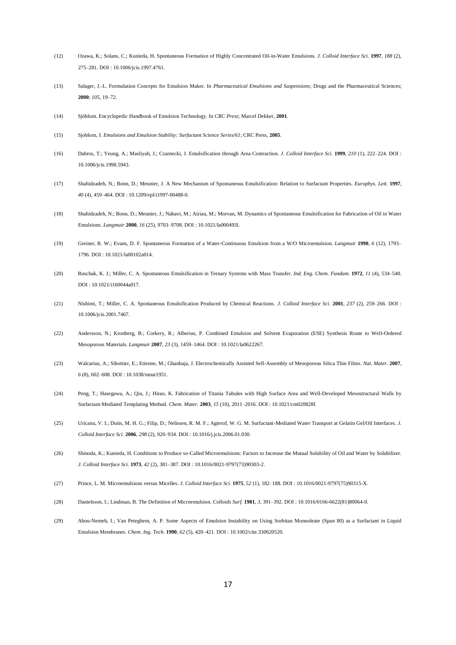- (12) Ozawa, K.; Solans, C.; Kunieda, H. Spontaneous Formation of Highly Concentrated Oil-in-Water Emulsions. *J. Colloid Interface Sci.* **1997**, *188* (2), 275–281. DOI : 10.1006/jcis.1997.4761.
- (13) Salager, J.-L. Formulation Concepts for Emulsion Maker. In *Pharmaceutical Emulsions and Suspensions*; Drugs and the Pharmaceutical Sciences; **2000**; *105*, 19–72.
- (14) Sjöblom. Encyclopedic Handbook of Emulsion Technology. In *CRC Press*; Marcel Dekker, **2001**.
- (15) Sjoblom, J. *Emulsions and Emulsion Stability: Surfactant Science Series/61*; CRC Press, **2005**.
- (16) Dabros, T.; Yeung, A.; Masliyah, J.; Czarnecki, J. Emulsification through Area Contraction. *J. Colloid Interface Sci.* **1999**, *210* (1), 222–224. DOI : 10.1006/jcis.1998.5943.
- (17) Shahidzadeh, N.; Bonn, D.; Meunier, J. A New Mechanism of Spontaneous Emulsification: Relation to Surfactant Properties. *Europhys. Lett.* **1997**, *40* (4), 459–464. DOI : 10.1209/epl/i1997-00488-0.
- (18) Shahidzadeh, N.; Bonn, D.; Meunier, J.; Nabavi, M.; Airiau, M.; Morvan, M. Dynamics of Spontaneous Emulsification for Fabrication of Oil in Water Emulsions. *Langmuir* **2000**, *16* (25), 9703–9708. DOI : 10.1021/la000493l.
- (19) Greiner, R. W.; Evans, D. F. Spontaneous Formation of a Water-Continuous Emulsion from a W/O Microemulsion. *Langmuir* **1990**, *6* (12), 1793– 1796. DOI : 10.1021/la00102a014.
- (20) Ruschak, K. J.; Miller, C. A. Spontaneous Emulsification in Ternary Systems with Mass Transfer. *Ind. Eng. Chem. Fundam.* **1972**, *11* (4), 534–540. DOI : 10.1021/i160044a017.
- (21) Nishimi, T.; Miller, C. A. Spontaneous Emulsification Produced by Chemical Reactions. *J. Colloid Interface Sci.* **2001**, *237* (2), 259–266. DOI : 10.1006/jcis.2001.7467.
- (22) Andersson, N.; Kronberg, B.; Corkery, R.; Alberius, P. Combined Emulsion and Solvent Evaporation (ESE) Synthesis Route to Well-Ordered Mesoporous Materials. *Langmuir* **2007**, *23* (3), 1459–1464. DOI : 10.1021/la0622267.
- (23) Walcarius, A.; Sibottier, E.; Etienne, M.; Ghanbaja, J. Electrochemically Assisted Self-Assembly of Mesoporous Silica Thin Films. *Nat. Mater.* **2007**, *6* (8), 602–608. DOI : 10.1038/nmat1951.
- (24) Peng, T.; Hasegawa, A.; Qiu, J.; Hirao, K. Fabrication of Titania Tubules with High Surface Area and Well-Developed Mesostructural Walls by Surfactant-Mediated Templating Method. *Chem. Mater.* **2003**, *15* (10), 2011–2016. DOI : 10.1021/cm020828f.
- (25) Uricanu, V. I.; Duits, M. H. G.; Filip, D.; Nelissen, R. M. F.; Agterof, W. G. M. Surfactant-Mediated Water Transport at Gelatin Gel/Oil Interfaces. *J. Colloid Interface Sci.* **2006**, *298* (2), 920–934. DOI : 10.1016/j.jcis.2006.01.030.
- (26) Shinoda, K.; Kunieda, H. Conditions to Produce so-Called Microemulsions: Factors to Increase the Mutual Solubility of Oil and Water by Solubilizer. *J. Colloid Interface Sci.* **1973**, *42* (2), 381–387. DOI : 10.1016/0021-9797(73)90303-2.
- (27) Prince, L. M. Microemulsions versus Micelles. *J. Colloid Interface Sci.* **1975**, *52* (1), 182–188. DOI : 10.1016/0021-9797(75)90315-X.
- (28) Danielsson, I.; Lindman, B. The Definition of Microemulsion. *Colloids Surf.* **1981**, *3*, 391–392. DOI : 10.1016/0166-6622(81)80064-9.
- (29) Abou-Nemeh, I.; Van Peteghem, A. P. Some Aspects of Emulsion Instability on Using Sorbitan Monooleate (Span 80) as a Surfactant in Liquid Emulsion Membranes. *Chem. Ing. Tech.* **1990**, *62* (5), 420–421. DOI : 10.1002/cite.330620520.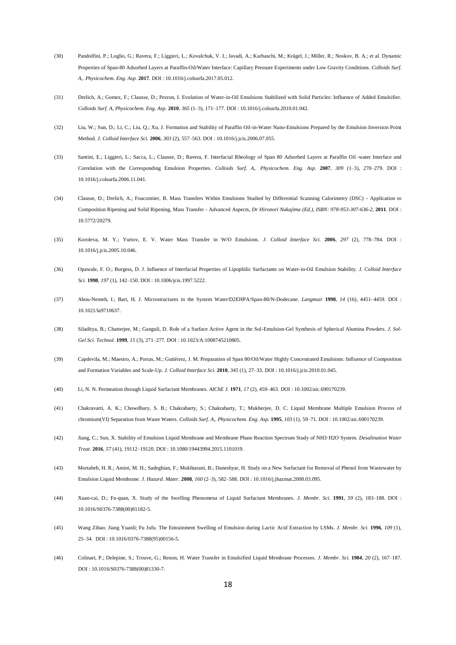- (30) Pandolfini, P.; Loglio, G.; Ravera, F.; Liggieri, L.; Kovalchuk, V. I.; Javadi, A.; Karbaschi, M.; Krägel, J.; Miller, R.; Noskov, B. A.; et al. Dynamic Properties of Span-80 Adsorbed Layers at Paraffin-Oil/Water Interface: Capillary Pressure Experiments under Low Gravity Conditions. *Colloids Surf. A,. Physicochem. Eng. Asp.* **2017**. DOI : 10.1016/j.colsurfa.2017.05.012.
- (31) Drelich, A.; Gomez, F.; Clausse, D.; Pezron, I. Evolution of Water-in-Oil Emulsions Stabilized with Solid Particles: Influence of Added Emulsifier. *Colloids Surf. A, Physicochem. Eng. Asp.* **2010**, *365* (1–3), 171–177. DOI : 10.1016/j.colsurfa.2010.01.042.
- (32) Liu, W.; Sun, D.; Li, C.; Liu, Q.; Xu, J. Formation and Stability of Paraffin Oil-in-Water Nano-Emulsions Prepared by the Emulsion Inversion Point Method. *J. Colloid Interface Sci.* **2006**, *303* (2), 557–563. DOI : 10.1016/j.jcis.2006.07.055.
- (33) Santini, E.; Liggieri, L.; Sacca, L.; Clausse, D.; Ravera, F. Interfacial Rheology of Span 80 Adsorbed Layers at Paraffin Oil–water Interface and Correlation with the Corresponding Emulsion Properties. *Colloids Surf. A,. Physicochem. Eng. Asp.* **2007**, *309* (1–3), 270–279. DOI : 10.1016/j.colsurfa.2006.11.041.
- (34) Clausse, D.; Drelich, A.; Fouconnier, B. Mass Transfers Within Emulsions Studied by Differential Scanning Calorimetry (DSC) Application to Composition Ripening and Solid Ripening, Mass Transfer - Advanced Aspects, *Dr Hironori Nakajima (Ed.), ISBN: 978-953-307-636-2*, **2011**. DOI : 10.5772/20279.
- (35) Koroleva, M. Y.; Yurtov, E. V. Water Mass Transfer in W/O Emulsions. *J. Colloid Interface Sci.* **2006**, *297* (2), 778–784. DOI : 10.1016/j.jcis.2005.10.046.
- (36) Opawale, F. O.; Burgess, D. J. Influence of Interfacial Properties of Lipophilic Surfactants on Water-in-Oil Emulsion Stability. *J. Colloid Interface Sci.* **1998**, *197* (1), 142–150. DOI : 10.1006/jcis.1997.5222.
- (37) Abou-Nemeh, I.; Bart, H. J. Microstructures in the System Water/D2EHPA/Span-80/N-Dodecane. *Langmuir* **1998**, *14* (16), 4451–4459. DOI : 10.1021/la9710637.
- (38) Siladitya, B.; Chatterjee, M.; Ganguli, D. Role of a Surface Active Agent in the Sol-Emulsion-Gel Synthesis of Spherical Alumina Powders. *J. Sol-Gel Sci. Technol.* **1999**, *15* (3), 271–277. DOI : 10.1023/A:1008745210805.
- (39) Capdevila, M.; Maestro, A.; Porras, M.; Gutiérrez, J. M. Preparation of Span 80/Oil/Water Highly Concentrated Emulsions: Influence of Composition and Formation Variables and Scale-Up. *J. Colloid Interface Sci.* **2010**, *345* (1), 27–33. DOI : 10.1016/j.jcis.2010.01.045.
- (40) Li, N. N. Permeation through Liquid Surfactant Membranes. *AIChE J.* **1971**, *17* (2), 459–463. DOI : 10.1002/aic.690170239.
- (41) Chakravarti, A. K.; Chowdhury, S. B.; Chakrabarty, S.; Chakrabarty, T.; Mukherjee, D. C. Liquid Membrane Multiple Emulsion Process of chromium(VI) Separation from Waste Waters. *Colloids Surf. A,. Physicochem. Eng. Asp.* **1995**, *103* (1), 59–71. DOI : 10.1002/aic.690170239.
- (42) Jiang, C.; Sun, X. Stability of Emulsion Liquid Membrane and Membrane Phase Reaction Spectrum Study of NH3·H2O System. *Desalination Water Treat.* **2016**, *57* (41), 19112–19120. DOI : 10.1080/19443994.2015.1101019.
- (43) Mortaheb, H. R.; Amini, M. H.; Sadeghian, F.; Mokhtarani, B.; Daneshyar, H. Study on a New Surfactant for Removal of Phenol from Wastewater by Emulsion Liquid Membrane. *J. Hazard. Mater.* **2008**, *160* (2–3), 582–588. DOI : 10.1016/j.jhazmat.2008.03.095.
- (44) Xuan-cai, D.; Fu-quan, X. Study of the Swelling Phenomena of Liquid Surfactant Membranes. *J. Membr. Sci.* **1991**, *59* (2), 183–188. DOI : 10.1016/S0376-7388(00)81182-5.
- (45) Wang Zihao; Jiang Yuanli; Fu Jufu. The Entrainment Swelling of Emulsion during Lactic Acid Extraction by LSMs. *J. Membr. Sci.* **1996**, *109* (1), 25–34. DOI : 10.1016/0376-7388(95)00156-5.
- (46) Colinart, P.; Delepine, S.; Trouve, G.; Renon, H. Water Transfer in Emulsified Liquid Membrane Processes. *J. Membr. Sci.* **1984**, *20* (2), 167–187. DOI : 10.1016/S0376-7388(00)81330-7.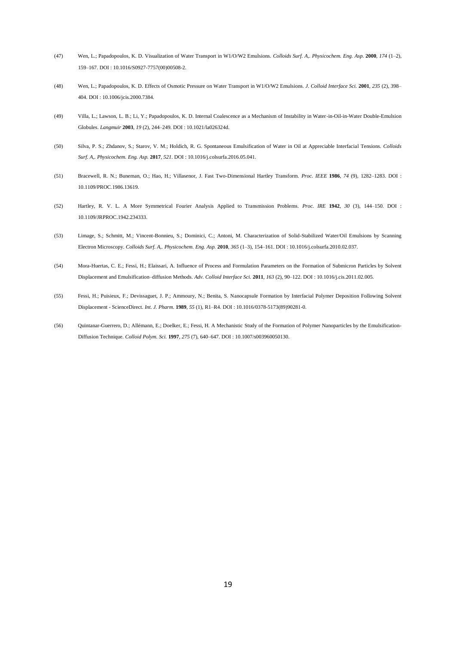- (47) Wen, L.; Papadopoulos, K. D. Visualization of Water Transport in W1/O/W2 Emulsions. *Colloids Surf. A,. Physicochem. Eng. Asp.* **2000**, *174* (1–2), 159–167. DOI : 10.1016/S0927-7757(00)00508-2.
- (48) Wen, L.; Papadopoulos, K. D. Effects of Osmotic Pressure on Water Transport in W1/O/W2 Emulsions. *J. Colloid Interface Sci.* **2001**, *235* (2), 398– 404. DOI : 10.1006/jcis.2000.7384.
- (49) Villa, L.; Lawson, L. B.; Li, Y.; Papadopoulos, K. D. Internal Coalescence as a Mechanism of Instability in Water-in-Oil-in-Water Double-Emulsion Globules. *Langmuir* **2003**, *19* (2), 244–249. DOI : 10.1021/la026324d.
- (50) Silva, P. S.; Zhdanov, S.; Starov, V. M.; Holdich, R. G. Spontaneous Emulsification of Water in Oil at Appreciable Interfacial Tensions. *Colloids Surf. A,. Physicochem. Eng. Asp.* **2017**, *521*. DOI : 10.1016/j.colsurfa.2016.05.041.
- (51) Bracewell, R. N.; Buneman, O.; Hao, H.; Villasenor, J. Fast Two-Dimensional Hartley Transform. *Proc. IEEE* **1986**, *74* (9), 1282–1283. DOI : 10.1109/PROC.1986.13619.
- (52) Hartley, R. V. L. A More Symmetrical Fourier Analysis Applied to Transmission Problems. *Proc. IRE* **1942**, *30* (3), 144–150. DOI : 10.1109/JRPROC.1942.234333.
- (53) Limage, S.; Schmitt, M.; Vincent-Bonnieu, S.; Dominici, C.; Antoni, M. Characterization of Solid-Stabilized Water/Oil Emulsions by Scanning Electron Microscopy. *Colloids Surf. A,. Physicochem. Eng. Asp.* **2010**, *365* (1–3), 154–161. DOI : 10.1016/j.colsurfa.2010.02.037.
- (54) Mora-Huertas, C. E.; Fessi, H.; Elaissari, A. Influence of Process and Formulation Parameters on the Formation of Submicron Particles by Solvent Displacement and Emulsification–diffusion Methods. *Adv. Colloid Interface Sci.* **2011**, *163* (2), 90–122. DOI : 10.1016/j.cis.2011.02.005.
- (55) Fessi, H.; Puisieux, F.; Devissaguet, J. P.; Ammoury, N.; Benita, S. Nanocapsule Formation by Interfacial Polymer Deposition Following Solvent Displacement - ScienceDirect. *Int. J. Pharm.* **1989**, *55* (1), R1–R4. DOI : 10.1016/0378-5173(89)90281-0.
- (56) Quintanar-Guerrero, D.; Allémann, E.; Doelker, E.; Fessi, H. A Mechanistic Study of the Formation of Polymer Nanoparticles by the Emulsification-Diffusion Technique. *Colloid Polym. Sci.* **1997**, *275* (7), 640–647. DOI : 10.1007/s003960050130.